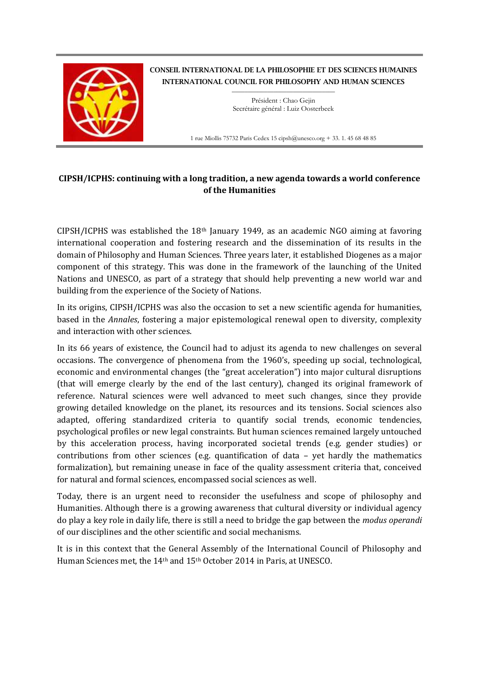

CONSEIL INTERNATIONAL DE LA PHILOSOPHIE ET DES SCIENCES HUMAINES INTERNATIONAL COUNCIL FOR PHILOSOPHY AND HUMAN SCIENCES

> $\_$ Président : Chao Gejin Secrétaire général : Luiz Oosterbeek

1 rue Miollis 75732 Paris Cedex 15 cipsh@unesco.org + 33. 1. 45 68 48 85

## **CIPSH/ICPHS: continuing with a long tradition, a new agenda towards a world conference of the Humanities**

CIPSH/ICPHS was established the  $18<sup>th</sup>$  January 1949, as an academic NGO aiming at favoring international cooperation and fostering research and the dissemination of its results in the domain of Philosophy and Human Sciences. Three years later, it established Diogenes as a major component of this strategy. This was done in the framework of the launching of the United Nations and UNESCO, as part of a strategy that should help preventing a new world war and building from the experience of the Society of Nations.

In its origins, CIPSH/ICPHS was also the occasion to set a new scientific agenda for humanities, based in the *Annales*, fostering a major epistemological renewal open to diversity, complexity and interaction with other sciences.

In its 66 years of existence, the Council had to adjust its agenda to new challenges on several occasions. The convergence of phenomena from the 1960's, speeding up social, technological, economic and environmental changes (the "great acceleration") into major cultural disruptions (that will emerge clearly by the end of the last century), changed its original framework of reference. Natural sciences were well advanced to meet such changes, since they provide growing detailed knowledge on the planet, its resources and its tensions. Social sciences also adapted, offering standardized criteria to quantify social trends, economic tendencies, psychological profiles or new legal constraints. But human sciences remained largely untouched by this acceleration process, having incorporated societal trends (e.g. gender studies) or contributions from other sciences (e.g. quantification of data – yet hardly the mathematics formalization), but remaining unease in face of the quality assessment criteria that, conceived for natural and formal sciences, encompassed social sciences as well.

Today, there is an urgent need to reconsider the usefulness and scope of philosophy and Humanities. Although there is a growing awareness that cultural diversity or individual agency do play a key role in daily life, there is still a need to bridge the gap between the *modus operandi* of our disciplines and the other scientific and social mechanisms.

It is in this context that the General Assembly of the International Council of Philosophy and Human Sciences met, the 14th and 15th October 2014 in Paris, at UNESCO.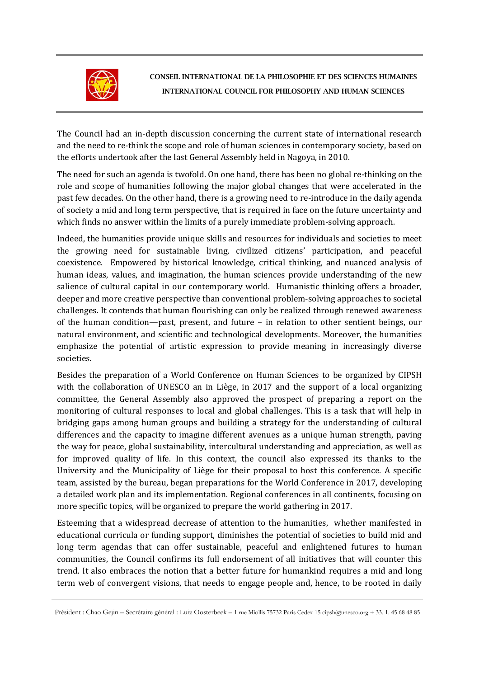

The Council had an in-depth discussion concerning the current state of international research and the need to re-think the scope and role of human sciences in contemporary society, based on the efforts undertook after the last General Assembly held in Nagoya, in 2010.

The need for such an agenda is twofold. On one hand, there has been no global re-thinking on the role and scope of humanities following the major global changes that were accelerated in the past few decades. On the other hand, there is a growing need to re-introduce in the daily agenda of society a mid and long term perspective, that is required in face on the future uncertainty and which finds no answer within the limits of a purely immediate problem-solving approach.

Indeed, the humanities provide unique skills and resources for individuals and societies to meet the growing need for sustainable living, civilized citizens' participation, and peaceful coexistence. Empowered by historical knowledge, critical thinking, and nuanced analysis of human ideas, values, and imagination, the human sciences provide understanding of the new salience of cultural capital in our contemporary world. Humanistic thinking offers a broader, deeper and more creative perspective than conventional problem-solving approaches to societal challenges. It contends that human flourishing can only be realized through renewed awareness of the human condition—past, present, and future – in relation to other sentient beings, our natural environment, and scientific and technological developments. Moreover, the humanities emphasize the potential of artistic expression to provide meaning in increasingly diverse societies.

Besides the preparation of a World Conference on Human Sciences to be organized by CIPSH with the collaboration of UNESCO an in Liège, in 2017 and the support of a local organizing committee, the General Assembly also approved the prospect of preparing a report on the monitoring of cultural responses to local and global challenges. This is a task that will help in bridging gaps among human groups and building a strategy for the understanding of cultural differences and the capacity to imagine different avenues as a unique human strength, paving the way for peace, global sustainability, intercultural understanding and appreciation, as well as for improved quality of life. In this context, the council also expressed its thanks to the University and the Municipality of Liège for their proposal to host this conference. A specific team, assisted by the bureau, began preparations for the World Conference in 2017, developing a detailed work plan and its implementation. Regional conferences in all continents, focusing on more specific topics, will be organized to prepare the world gathering in 2017.

Esteeming that a widespread decrease of attention to the humanities, whether manifested in educational curricula or funding support, diminishes the potential of societies to build mid and long term agendas that can offer sustainable, peaceful and enlightened futures to human communities, the Council confirms its full endorsement of all initiatives that will counter this trend. It also embraces the notion that a better future for humankind requires a mid and long term web of convergent visions, that needs to engage people and, hence, to be rooted in daily

Président : Chao Gejin – Secrétaire général : Luiz Oosterbeek – 1 rue Miollis 75732 Paris Cedex 15 cipsh@unesco.org + 33. 1. 45 68 48 85